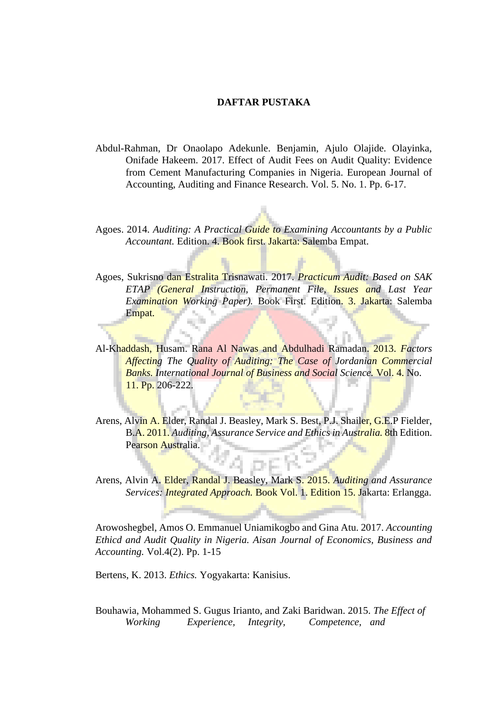## **DAFTAR PUSTAKA**

- Abdul-Rahman, Dr Onaolapo Adekunle. Benjamin, Ajulo Olajide. Olayinka, Onifade Hakeem. 2017. Effect of Audit Fees on Audit Quality: Evidence from Cement Manufacturing Companies in Nigeria. European Journal of Accounting, Auditing and Finance Research. Vol. 5. No. 1. Pp. 6-17.
- Agoes. 2014. *Auditing: A Practical Guide to Examining Accountants by a Public Accountant.* Edition. 4. Book first. Jakarta: Salemba Empat.
- Agoes, Sukrisno dan Estralita Trisnawati. 2017. *Practicum Audit: Based on SAK ETAP (General Instruction, Permanent File, Issues and Last Year Examination Working Paper).* Book First. Edition. 3. Jakarta: Salemba Empat.
- Al-Khaddash, Husam. Rana Al Nawas and Abdulhadi Ramadan. 2013. *Factors Affecting The Quality of Auditing: The Case of Jordanian Commercial Banks. International Journal of Business and Social Science.* Vol. 4. No. 11. Pp. 206-222.
- Arens, Alvin A. Elder, Randal J. Beasley, Mark S. Best, P.J. Shailer, G.E.P Fielder, B.A. 2011. *Auditing, Assurance Service and Ethics in Australia.* 8th Edition. Pearson Australia.
- Arens, Alvin A. Elder, Randal J. Beasley, Mark S. 2015. *Auditing and Assurance Services: Integrated Approach.* Book Vol. 1. Edition 15. Jakarta: Erlangga.

Arowoshegbel, Amos O. Emmanuel Uniamikogbo and Gina Atu. 2017. *Accounting Ethicd and Audit Quality in Nigeria. Aisan Journal of Economics, Business and Accounting.* Vol.4(2). Pp. 1-15

Bertens, K. 2013. *Ethics.* Yogyakarta: Kanisius.

Bouhawia, Mohammed S. Gugus Irianto, and Zaki Baridwan. 2015. *The Effect of Working Experience, Integrity, Competence, and*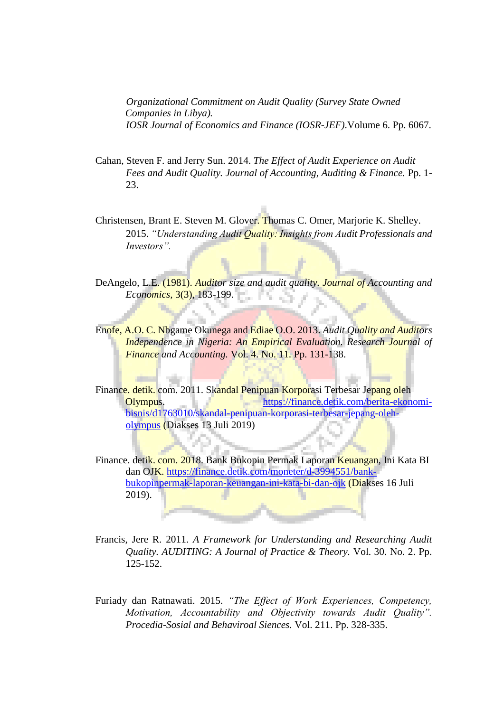*Organizational Commitment on Audit Quality (Survey State Owned Companies in Libya). IOSR Journal of Economics and Finance (IOSR-JEF)*.Volume 6. Pp. 6067.

- Cahan, Steven F. and Jerry Sun. 2014. *The Effect of Audit Experience on Audit Fees and Audit Quality. Journal of Accounting, Auditing & Finance.* Pp. 1- 23.
- Christensen, Brant E. Steven M. Glover. Thomas C. Omer, Marjorie K. Shelley. 2015. *"Understanding Audit Quality: Insights from Audit Professionals and Investors".*

DeAngelo, L.E. (1981). *Auditor size and audit quality. Journal of Accounting and Economics,* 3(3), 183-199. 13. SE

Enofe, A.O. C. Nbgame Okunega and Ediae O.O. 2013. *Audit Quality and Auditors Independence in Nigeria: An Empirical Evaluation. Research Journal of Finance and Accounting.* Vol. 4. No. 11. Pp. 131-138.

Finance. detik. com. 2011. Skandal Penipuan Korporasi Terbesar Jepang oleh Olympus. [https://finance.detik.com/berita-ekonomi](https://finance.detik.com/berita-ekonomi-bisnis/d-1763010/skandal-penipuan-korporasi-terbesar-jepang-oleh-olympus)[bisnis/d1763010/skandal-penipuan-korporasi-terbesar-jepang-oleh](https://finance.detik.com/berita-ekonomi-bisnis/d-1763010/skandal-penipuan-korporasi-terbesar-jepang-oleh-olympus)[olympus](https://finance.detik.com/berita-ekonomi-bisnis/d-1763010/skandal-penipuan-korporasi-terbesar-jepang-oleh-olympus) [\(](https://finance.detik.com/berita-ekonomi-bisnis/d-1763010/skandal-penipuan-korporasi-terbesar-jepang-oleh-olympus)Diakses 13 Juli 2019)

Finance. detik. com. 2018. Bank Bukopin Permak Laporan Keuangan, Ini Kata BI dan OJK. [https://finance.detik.com/moneter/d-3994551/bank](https://finance.detik.com/moneter/d-3994551/bank-bukopin-permak-laporan-keuangan-ini-kata-bi-dan-ojk)[bukopinpermak-laporan-keuangan-ini-kata-bi-dan-ojk](https://finance.detik.com/moneter/d-3994551/bank-bukopin-permak-laporan-keuangan-ini-kata-bi-dan-ojk) (Diakses 16 Juli  $2019$ ).

- Francis, Jere R. 2011. *A Framework for Understanding and Researching Audit Quality. AUDITING: A Journal of Practice & Theory.* Vol. 30. No. 2. Pp. 125-152.
- Furiady dan Ratnawati. 2015. *"The Effect of Work Experiences, Competency, Motivation, Accountability and Objectivity towards Audit Quality". Procedia-Sosial and Behaviroal Siences.* Vol. 211. Pp. 328-335.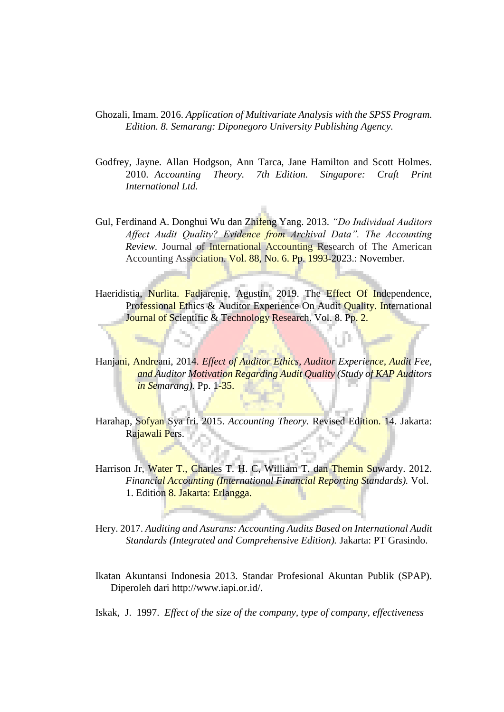- Ghozali, Imam. 2016. *Application of Multivariate Analysis with the SPSS Program. Edition. 8. Semarang: Diponegoro University Publishing Agency.*
- Godfrey, Jayne. Allan Hodgson, Ann Tarca, Jane Hamilton and Scott Holmes. 2010. *Accounting Theory. 7th Edition. Singapore: Craft Print International Ltd.*
- Gul, Ferdinand A. Donghui Wu dan Zhifeng Yang. 2013. *"Do Individual Auditors Affect Audit Quality? Evidence from Archival Data". The Accounting Review.* Journal of International Accounting Research of The American Accounting Association. Vol. 88, No. 6. Pp. 1993-2023.: November.
- Haeridistia, Nurlita. Fadjarenie, Agustin. 2019. The Effect Of Independence, Professional Ethics & Auditor Experience On Audit Quality. International Journal of Scientific & Technology Research. Vol. 8. Pp. 2.
- Hanjani, Andreani, 2014. *Effect of Auditor Ethics, Auditor Experience, Audit Fee, and Auditor Motivation Regarding Audit Quality (Study of KAP Auditors in Semarang).* Pp. 1-35.
- Harahap, Sofyan Sya fri. 2015. *Accounting Theory.* Revised Edition. 14. Jakarta: Rajawali Pers.
- Harrison Jr, Water T., Charles T. H. C. William T. dan Themin Suwardy. 2012. *Financial Accounting (International Financial Reporting Standards).* Vol. 1. Edition 8. Jakarta: Erlangga.
- Hery. 2017. *Auditing and Asurans: Accounting Audits Based on International Audit Standards (Integrated and Comprehensive Edition).* Jakarta: PT Grasindo.
- Ikatan Akuntansi Indonesia 2013. Standar Profesional Akuntan Publik (SPAP). Diperoleh dari http://www.iapi.or.id/.
- Iskak, J. 1997. *Effect of the size of the company, type of company, effectiveness*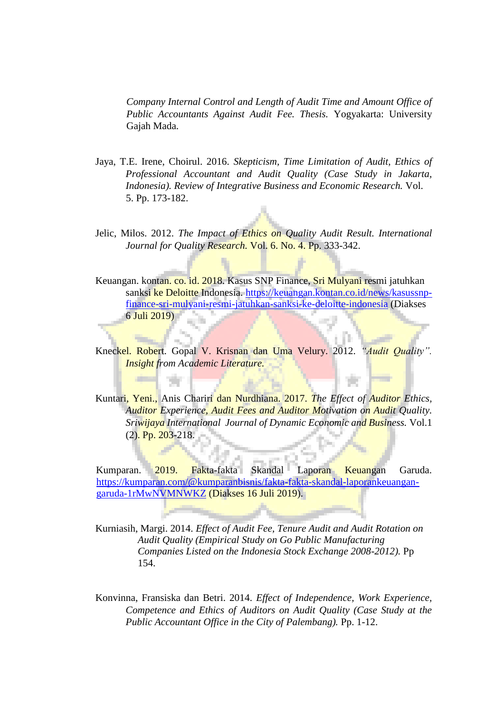*Company Internal Control and Length of Audit Time and Amount Office of Public Accountants Against Audit Fee. Thesis.* Yogyakarta: University Gajah Mada.

- Jaya, T.E. Irene, Choirul. 2016. *Skepticism, Time Limitation of Audit, Ethics of Professional Accountant and Audit Quality (Case Study in Jakarta, Indonesia). Review of Integrative Business and Economic Research.* Vol. 5. Pp. 173-182.
- Jelic, Milos. 2012. *The Impact of Ethics on Quality Audit Result. International Journal for Quality Research.* Vol. 6. No. 4. Pp. 333-342.
- Keuangan. kontan. co. id. 2018. Kasus SNP Finance, Sri Mulyani resmi jatuhkan sanksi ke Deloitte Indonesia. [https://keuangan.kontan.co.id/news/kasussnp](https://keuangan.kontan.co.id/news/kasus-snp-finance-sri-mulyani-resmi-jatuhkan-sanksi-ke-deloitte-indonesia)[finance-sri-mulyani-resmi-jatuhkan-sanksi-ke-deloitte-indonesia](https://keuangan.kontan.co.id/news/kasus-snp-finance-sri-mulyani-resmi-jatuhkan-sanksi-ke-deloitte-indonesia) (Diakses 6 Juli 2019)
- Kneckel. Robert. Gopal V. Krisnan dan Uma Velury. 2012. *"Audit Quality". Insight from Academic Literature.*
- Kuntari, Yeni., Anis Chariri dan Nurdhiana. 2017. *The Effect of Auditor Ethics, Auditor Experience, Audit Fees and Auditor Motivation on Audit Quality. Sriwijaya International Journal of Dynamic Economic and Business.* Vol.1  $(2)$ . Pp. 203-218.

Kumparan. 2019. Fakta-fakta Skandal Laporan Keuangan Garuda. [https://kumparan.com/@kumparanbisnis/fakta-fakta-skandal-laporankeuangan](https://kumparan.com/@kumparanbisnis/fakta-fakta-skandal-laporan-keuangan-garuda-1rMwNVMNWKZ)[garuda-1rMwNVMNWKZ](https://kumparan.com/@kumparanbisnis/fakta-fakta-skandal-laporan-keuangan-garuda-1rMwNVMNWKZ) [\(](https://kumparan.com/@kumparanbisnis/fakta-fakta-skandal-laporan-keuangan-garuda-1rMwNVMNWKZ)Diakses 16 Juli 2019).

- Kurniasih, Margi. 2014. *Effect of Audit Fee, Tenure Audit and Audit Rotation on Audit Quality (Empirical Study on Go Public Manufacturing Companies Listed on the Indonesia Stock Exchange 2008-2012).* Pp 154.
- Konvinna, Fransiska dan Betri. 2014. *Effect of Independence, Work Experience, Competence and Ethics of Auditors on Audit Quality (Case Study at the Public Accountant Office in the City of Palembang).* Pp. 1-12.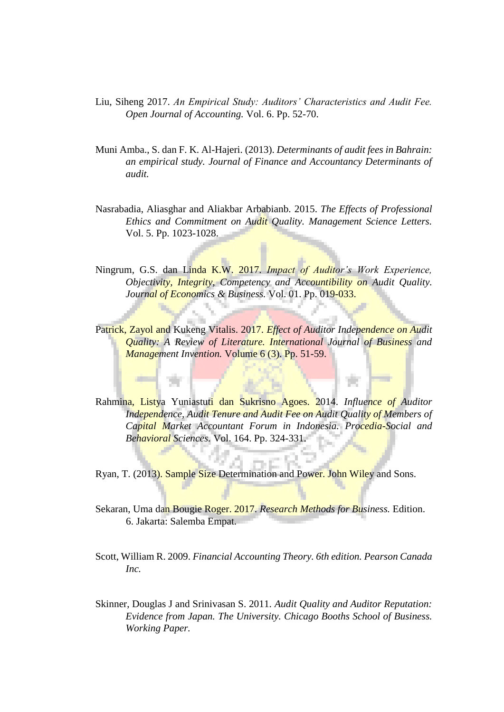- Liu, Siheng 2017. *An Empirical Study: Auditors' Characteristics and Audit Fee. Open Journal of Accounting.* Vol. 6. Pp. 52-70.
- Muni Amba., S. dan F. K. Al-Hajeri. (2013). *Determinants of audit fees in Bahrain: an empirical study. Journal of Finance and Accountancy Determinants of audit.*
- Nasrabadia, Aliasghar and Aliakbar Arbabianb. 2015. *The Effects of Professional Ethics and Commitment on Audit Quality. Management Science Letters.* Vol. 5. Pp. 1023-1028.
- Ningrum, G.S. dan Linda K.W. 2017. *Impact of Auditor's Work Experience, Objectivity, Integrity, Competency and Accountibility on Audit Quality. Journal of Economics & Business.* Vol. 01. Pp. 019-033.
- Patrick, Zayol and Kukeng Vitalis. 2017. *Effect of Auditor Independence on Audit Quality: A Review of Literature. International Journal of Business and Management Invention.* Volume 6 (3). Pp. 51-59.
- Rahmina, Listya Yuniastuti dan Sukrisno Agoes. 2014. *Influence of Auditor Independence, Audit Tenure and Audit Fee on Audit Quality of Members of Capital Market Accountant Forum in Indonesia. Procedia-Social and Behavioral Sciences.* Vol. 164. Pp. 324-331.
- Ryan, T. (2013). Sample Size Determination and Power. John Wiley and Sons.
- Sekaran, Uma dan Bougie Roger. 2017. *Research Methods for Business.* Edition. 6. Jakarta: Salemba Empat.
- Scott, William R. 2009. *Financial Accounting Theory. 6th edition. Pearson Canada Inc.*
- Skinner, Douglas J and Srinivasan S. 2011*. Audit Quality and Auditor Reputation: Evidence from Japan. The University. Chicago Booths School of Business. Working Paper.*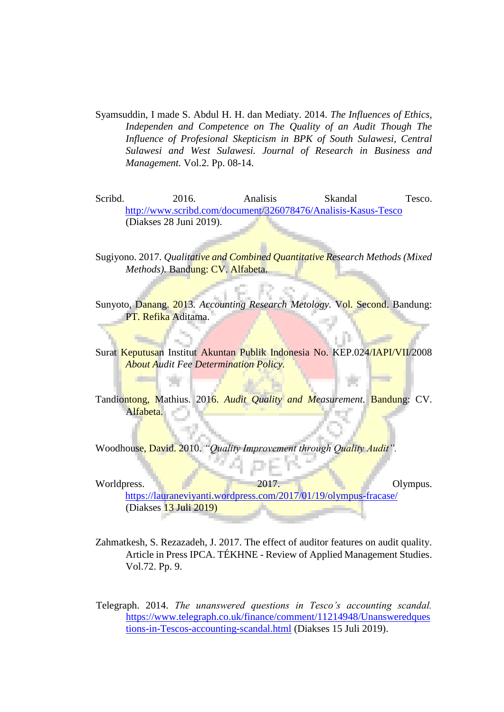- Syamsuddin, I made S. Abdul H. H. dan Mediaty. 2014. *The Influences of Ethics, Independen and Competence on The Quality of an Audit Though The Influence of Profesional Skepticism in BPK of South Sulawesi, Central Sulawesi and West Sulawesi. Journal of Research in Business and Management.* Vol.2. Pp. 08-14.
- Scribd. 2016. Analisis Skandal Tesco. <http://www.scribd.com/document/326078476/Analisis-Kasus-Tesco> (Diakses 28 Juni 2019).
- Sugiyono. 2017. *Qualitative and Combined Quantitative Research Methods (Mixed Methods).* Bandung: CV. Alfabeta.
- Sunyoto, Danang. 2013*. Accounting Research Metology.* Vol. Second. Bandung: PT. Refika Aditama.
- Surat Keputusan Institut Akuntan Publik Indonesia No. KEP.024/IAPI/VII/2008 *About Audit Fee Determination Policy.*
- Tandiontong, Mathius. 2016. *Audit Quality and Measurement.* Bandung: CV. Alfabeta.

Woodhouse, David. 2010. *"Quality Improvement through Quality Audit".*

- Worldpress. <https://lauraneviyanti.wordpress.com/2017/01/19/olympus-fracase/> (Diakses 13 Juli 2019)
- Zahmatkesh, S. Rezazadeh, J. 2017. The effect of auditor features on audit quality. Article in Press IPCA. TÉKHNE - Review of Applied Management Studies. Vol.72. Pp. 9.
- Telegraph. 2014. *The unanswered questions in Tesco's accounting scandal.* [https://www.telegraph.co.uk/finance/comment/11214948/Unansweredques](https://www.telegraph.co.uk/finance/comment/11214948/Unanswered-questions-in-Tescos-accounting-scandal.html) [tions-in-Tescos-accounting-scandal.html](https://www.telegraph.co.uk/finance/comment/11214948/Unanswered-questions-in-Tescos-accounting-scandal.html) [\(](https://www.telegraph.co.uk/finance/comment/11214948/Unanswered-questions-in-Tescos-accounting-scandal.html)Diakses 15 Juli 2019).